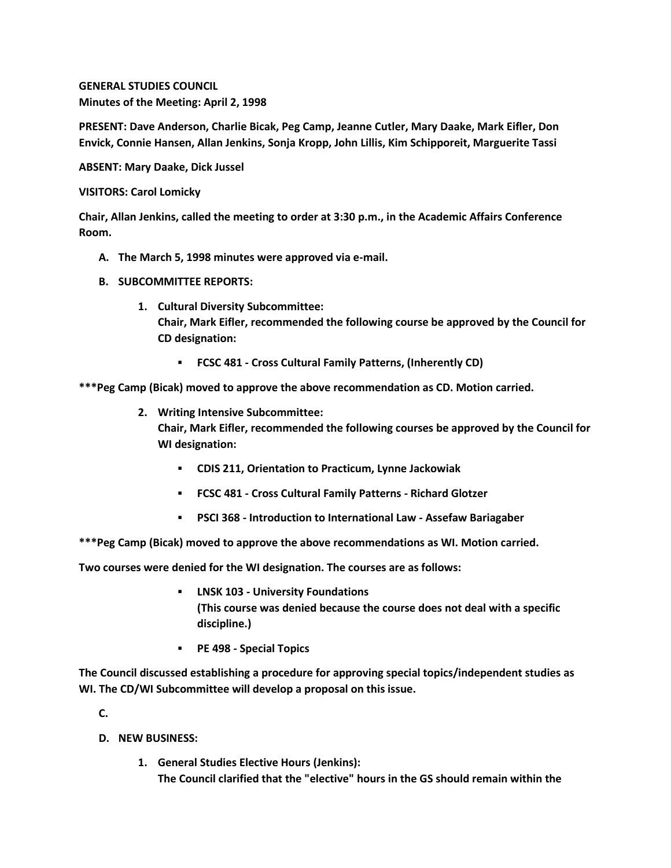**GENERAL STUDIES COUNCIL Minutes of the Meeting: April 2, 1998**

**PRESENT: Dave Anderson, Charlie Bicak, Peg Camp, Jeanne Cutler, Mary Daake, Mark Eifler, Don Envick, Connie Hansen, Allan Jenkins, Sonja Kropp, John Lillis, Kim Schipporeit, Marguerite Tassi**

**ABSENT: Mary Daake, Dick Jussel**

**VISITORS: Carol Lomicky**

**Chair, Allan Jenkins, called the meeting to order at 3:30 p.m., in the Academic Affairs Conference Room.**

- **A. The March 5, 1998 minutes were approved via e-mail.**
- **B. SUBCOMMITTEE REPORTS:**
	- **1. Cultural Diversity Subcommittee: Chair, Mark Eifler, recommended the following course be approved by the Council for CD designation:** 
		- **FCSC 481 - Cross Cultural Family Patterns, (Inherently CD)**

**\*\*\*Peg Camp (Bicak) moved to approve the above recommendation as CD. Motion carried.**

- **2. Writing Intensive Subcommittee: Chair, Mark Eifler, recommended the following courses be approved by the Council for WI designation:** 
	- **CDIS 211, Orientation to Practicum, Lynne Jackowiak**
	- **FCSC 481 - Cross Cultural Family Patterns - Richard Glotzer**
	- **PSCI 368 - Introduction to International Law - Assefaw Bariagaber**

**\*\*\*Peg Camp (Bicak) moved to approve the above recommendations as WI. Motion carried.** 

**Two courses were denied for the WI designation. The courses are as follows:**

- **LNSK 103 - University Foundations (This course was denied because the course does not deal with a specific discipline.)**
- **PE 498 - Special Topics**

**The Council discussed establishing a procedure for approving special topics/independent studies as WI. The CD/WI Subcommittee will develop a proposal on this issue.**

**C.**

- **D. NEW BUSINESS:**
	- **1. General Studies Elective Hours (Jenkins): The Council clarified that the "elective" hours in the GS should remain within the**